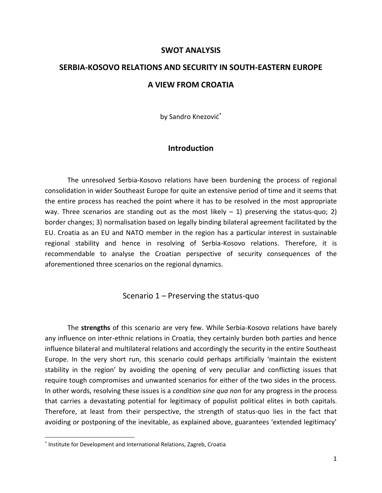#### **SWOT ANALYSIS**

# **SERBIA-KOSOVO RELATIONS AND SECURITY IN SOUTH-EASTERN EUROPE A VIEW FROM CROATIA**

by Sandro Knezović\*

## **Introduction**

The unresolved Serbia-Kosovo relations have been burdening the process of regional consolidation in wider Southeast Europe for quite an extensive period of time and it seems that the entire process has reached the point where it has to be resolved in the most appropriate way. Three scenarios are standing out as the most likely  $-1$ ) preserving the status-quo; 2) border changes; 3) normalisation based on legally binding bilateral agreement facilitated by the EU. Croatia as an EU and NATO member in the region has a particular interest in sustainable regional stability and hence in resolving of Serbia-Kosovo relations. Therefore, it is recommendable to analyse the Croatian perspective of security consequences of the aforementioned three scenarios on the regional dynamics.

## Scenario 1 – Preserving the status-quo

The **strengths** of this scenario are very few. While Serbia-Kosovo relations have barely any influence on inter-ethnic relations in Croatia, they certainly burden both parties and hence influence bilateral and multilateral relations and accordingly the security in the entire Southeast Europe. In the very short run, this scenario could perhaps artificially 'maintain the existent stability in the region' by avoiding the opening of very peculiar and conflicting issues that require tough compromises and unwanted scenarios for either of the two sides in the process. In other words, resolving these issues is a *condition sine qua non* for any progress in the process that carries a devastating potential for legitimacy of populist political elites in both capitals. Therefore, at least from their perspective, the strength of status-quo lies in the fact that avoiding or postponing of the inevitable, as explained above, guarantees 'extended legitimacy'

<sup>\*</sup> Institute for Development and International Relations, Zagreb, Croatia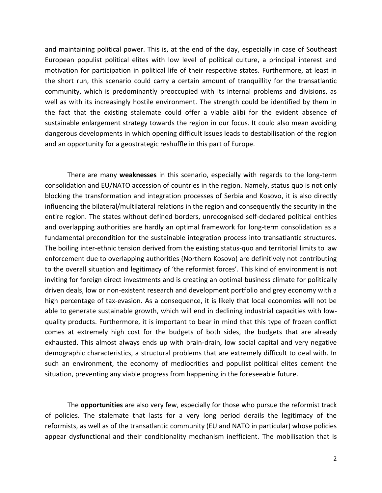and maintaining political power. This is, at the end of the day, especially in case of Southeast European populist political elites with low level of political culture, a principal interest and motivation for participation in political life of their respective states. Furthermore, at least in the short run, this scenario could carry a certain amount of tranquillity for the transatlantic community, which is predominantly preoccupied with its internal problems and divisions, as well as with its increasingly hostile environment. The strength could be identified by them in the fact that the existing stalemate could offer a viable alibi for the evident absence of sustainable enlargement strategy towards the region in our focus. It could also mean avoiding dangerous developments in which opening difficult issues leads to destabilisation of the region and an opportunity for a geostrategic reshuffle in this part of Europe.

There are many **weaknesses** in this scenario, especially with regards to the long-term consolidation and EU/NATO accession of countries in the region. Namely, status quo is not only blocking the transformation and integration processes of Serbia and Kosovo, it is also directly influencing the bilateral/multilateral relations in the region and consequently the security in the entire region. The states without defined borders, unrecognised self-declared political entities and overlapping authorities are hardly an optimal framework for long-term consolidation as a fundamental precondition for the sustainable integration process into transatlantic structures. The boiling inter-ethnic tension derived from the existing status-quo and territorial limits to law enforcement due to overlapping authorities (Northern Kosovo) are definitively not contributing to the overall situation and legitimacy of 'the reformist forces'. This kind of environment is not inviting for foreign direct investments and is creating an optimal business climate for politically driven deals, low or non-existent research and development portfolio and grey economy with a high percentage of tax-evasion. As a consequence, it is likely that local economies will not be able to generate sustainable growth, which will end in declining industrial capacities with lowquality products. Furthermore, it is important to bear in mind that this type of frozen conflict comes at extremely high cost for the budgets of both sides, the budgets that are already exhausted. This almost always ends up with brain-drain, low social capital and very negative demographic characteristics, a structural problems that are extremely difficult to deal with. In such an environment, the economy of mediocrities and populist political elites cement the situation, preventing any viable progress from happening in the foreseeable future.

The **opportunities** are also very few, especially for those who pursue the reformist track of policies. The stalemate that lasts for a very long period derails the legitimacy of the reformists, as well as of the transatlantic community (EU and NATO in particular) whose policies appear dysfunctional and their conditionality mechanism inefficient. The mobilisation that is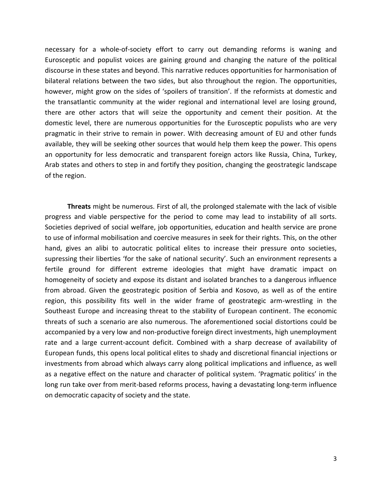necessary for a whole-of-society effort to carry out demanding reforms is waning and Eurosceptic and populist voices are gaining ground and changing the nature of the political discourse in these states and beyond. This narrative reduces opportunities for harmonisation of bilateral relations between the two sides, but also throughout the region. The opportunities, however, might grow on the sides of 'spoilers of transition'. If the reformists at domestic and the transatlantic community at the wider regional and international level are losing ground, there are other actors that will seize the opportunity and cement their position. At the domestic level, there are numerous opportunities for the Eurosceptic populists who are very pragmatic in their strive to remain in power. With decreasing amount of EU and other funds available, they will be seeking other sources that would help them keep the power. This opens an opportunity for less democratic and transparent foreign actors like Russia, China, Turkey, Arab states and others to step in and fortify they position, changing the geostrategic landscape of the region.

**Threats** might be numerous. First of all, the prolonged stalemate with the lack of visible progress and viable perspective for the period to come may lead to instability of all sorts. Societies deprived of social welfare, job opportunities, education and health service are prone to use of informal mobilisation and coercive measures in seek for their rights. This, on the other hand, gives an alibi to autocratic political elites to increase their pressure onto societies, supressing their liberties 'for the sake of national security'. Such an environment represents a fertile ground for different extreme ideologies that might have dramatic impact on homogeneity of society and expose its distant and isolated branches to a dangerous influence from abroad. Given the geostrategic position of Serbia and Kosovo, as well as of the entire region, this possibility fits well in the wider frame of geostrategic arm-wrestling in the Southeast Europe and increasing threat to the stability of European continent. The economic threats of such a scenario are also numerous. The aforementioned social distortions could be accompanied by a very low and non-productive foreign direct investments, high unemployment rate and a large current-account deficit. Combined with a sharp decrease of availability of European funds, this opens local political elites to shady and discretional financial injections or investments from abroad which always carry along political implications and influence, as well as a negative effect on the nature and character of political system. 'Pragmatic politics' in the long run take over from merit-based reforms process, having a devastating long-term influence on democratic capacity of society and the state.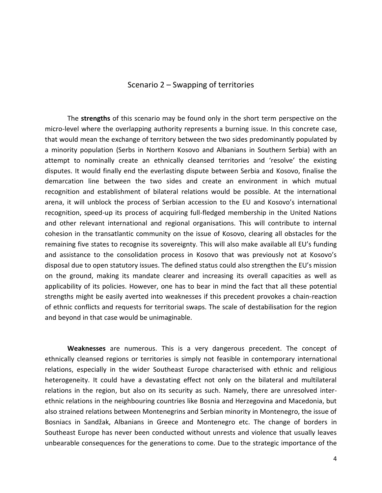#### Scenario 2 – Swapping of territories

The **strengths** of this scenario may be found only in the short term perspective on the micro-level where the overlapping authority represents a burning issue. In this concrete case, that would mean the exchange of territory between the two sides predominantly populated by a minority population (Serbs in Northern Kosovo and Albanians in Southern Serbia) with an attempt to nominally create an ethnically cleansed territories and 'resolve' the existing disputes. It would finally end the everlasting dispute between Serbia and Kosovo, finalise the demarcation line between the two sides and create an environment in which mutual recognition and establishment of bilateral relations would be possible. At the international arena, it will unblock the process of Serbian accession to the EU and Kosovo's international recognition, speed-up its process of acquiring full-fledged membership in the United Nations and other relevant international and regional organisations. This will contribute to internal cohesion in the transatlantic community on the issue of Kosovo, clearing all obstacles for the remaining five states to recognise its sovereignty. This will also make available all EU's funding and assistance to the consolidation process in Kosovo that was previously not at Kosovo's disposal due to open statutory issues. The defined status could also strengthen the EU's mission on the ground, making its mandate clearer and increasing its overall capacities as well as applicability of its policies. However, one has to bear in mind the fact that all these potential strengths might be easily averted into weaknesses if this precedent provokes a chain-reaction of ethnic conflicts and requests for territorial swaps. The scale of destabilisation for the region and beyond in that case would be unimaginable.

**Weaknesses** are numerous. This is a very dangerous precedent. The concept of ethnically cleansed regions or territories is simply not feasible in contemporary international relations, especially in the wider Southeast Europe characterised with ethnic and religious heterogeneity. It could have a devastating effect not only on the bilateral and multilateral relations in the region, but also on its security as such. Namely, there are unresolved interethnic relations in the neighbouring countries like Bosnia and Herzegovina and Macedonia, but also strained relations between Montenegrins and Serbian minority in Montenegro, the issue of Bosniacs in Sandžak, Albanians in Greece and Montenegro etc. The change of borders in Southeast Europe has never been conducted without unrests and violence that usually leaves unbearable consequences for the generations to come. Due to the strategic importance of the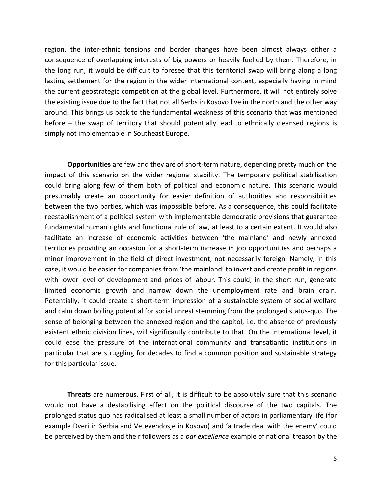region, the inter-ethnic tensions and border changes have been almost always either a consequence of overlapping interests of big powers or heavily fuelled by them. Therefore, in the long run, it would be difficult to foresee that this territorial swap will bring along a long lasting settlement for the region in the wider international context, especially having in mind the current geostrategic competition at the global level. Furthermore, it will not entirely solve the existing issue due to the fact that not all Serbs in Kosovo live in the north and the other way around. This brings us back to the fundamental weakness of this scenario that was mentioned before – the swap of territory that should potentially lead to ethnically cleansed regions is simply not implementable in Southeast Europe.

**Opportunities** are few and they are of short-term nature, depending pretty much on the impact of this scenario on the wider regional stability. The temporary political stabilisation could bring along few of them both of political and economic nature. This scenario would presumably create an opportunity for easier definition of authorities and responsibilities between the two parties, which was impossible before. As a consequence, this could facilitate reestablishment of a political system with implementable democratic provisions that guarantee fundamental human rights and functional rule of law, at least to a certain extent. It would also facilitate an increase of economic activities between 'the mainland' and newly annexed territories providing an occasion for a short-term increase in job opportunities and perhaps a minor improvement in the field of direct investment, not necessarily foreign. Namely, in this case, it would be easier for companies from 'the mainland' to invest and create profit in regions with lower level of development and prices of labour. This could, in the short run, generate limited economic growth and narrow down the unemployment rate and brain drain. Potentially, it could create a short-term impression of a sustainable system of social welfare and calm down boiling potential for social unrest stemming from the prolonged status-quo. The sense of belonging between the annexed region and the capitol, i.e. the absence of previously existent ethnic division lines, will significantly contribute to that. On the international level, it could ease the pressure of the international community and transatlantic institutions in particular that are struggling for decades to find a common position and sustainable strategy for this particular issue.

**Threats** are numerous. First of all, it is difficult to be absolutely sure that this scenario would not have a destabilising effect on the political discourse of the two capitals. The prolonged status quo has radicalised at least a small number of actors in parliamentary life (for example Dveri in Serbia and Vetevendosje in Kosovo) and 'a trade deal with the enemy' could be perceived by them and their followers as a *par excellence* example of national treason by the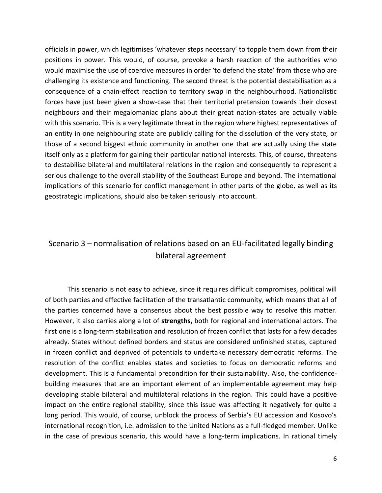officials in power, which legitimises 'whatever steps necessary' to topple them down from their positions in power. This would, of course, provoke a harsh reaction of the authorities who would maximise the use of coercive measures in order 'to defend the state' from those who are challenging its existence and functioning. The second threat is the potential destabilisation as a consequence of a chain-effect reaction to territory swap in the neighbourhood. Nationalistic forces have just been given a show-case that their territorial pretension towards their closest neighbours and their megalomaniac plans about their great nation-states are actually viable with this scenario. This is a very legitimate threat in the region where highest representatives of an entity in one neighbouring state are publicly calling for the dissolution of the very state, or those of a second biggest ethnic community in another one that are actually using the state itself only as a platform for gaining their particular national interests. This, of course, threatens to destabilise bilateral and multilateral relations in the region and consequently to represent a serious challenge to the overall stability of the Southeast Europe and beyond. The international implications of this scenario for conflict management in other parts of the globe, as well as its geostrategic implications, should also be taken seriously into account.

# Scenario 3 – normalisation of relations based on an EU-facilitated legally binding bilateral agreement

This scenario is not easy to achieve, since it requires difficult compromises, political will of both parties and effective facilitation of the transatlantic community, which means that all of the parties concerned have a consensus about the best possible way to resolve this matter. However, it also carries along a lot of **strengths,** both for regional and international actors. The first one is a long-term stabilisation and resolution of frozen conflict that lasts for a few decades already. States without defined borders and status are considered unfinished states, captured in frozen conflict and deprived of potentials to undertake necessary democratic reforms. The resolution of the conflict enables states and societies to focus on democratic reforms and development. This is a fundamental precondition for their sustainability. Also, the confidencebuilding measures that are an important element of an implementable agreement may help developing stable bilateral and multilateral relations in the region. This could have a positive impact on the entire regional stability, since this issue was affecting it negatively for quite a long period. This would, of course, unblock the process of Serbia's EU accession and Kosovo's international recognition, i.e. admission to the United Nations as a full-fledged member. Unlike in the case of previous scenario, this would have a long-term implications. In rational timely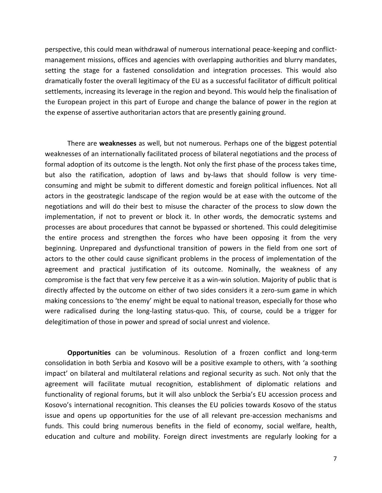perspective, this could mean withdrawal of numerous international peace-keeping and conflictmanagement missions, offices and agencies with overlapping authorities and blurry mandates, setting the stage for a fastened consolidation and integration processes. This would also dramatically foster the overall legitimacy of the EU as a successful facilitator of difficult political settlements, increasing its leverage in the region and beyond. This would help the finalisation of the European project in this part of Europe and change the balance of power in the region at the expense of assertive authoritarian actors that are presently gaining ground.

There are **weaknesses** as well, but not numerous. Perhaps one of the biggest potential weaknesses of an internationally facilitated process of bilateral negotiations and the process of formal adoption of its outcome is the length. Not only the first phase of the process takes time, but also the ratification, adoption of laws and by-laws that should follow is very timeconsuming and might be submit to different domestic and foreign political influences. Not all actors in the geostrategic landscape of the region would be at ease with the outcome of the negotiations and will do their best to misuse the character of the process to slow down the implementation, if not to prevent or block it. In other words, the democratic systems and processes are about procedures that cannot be bypassed or shortened. This could delegitimise the entire process and strengthen the forces who have been opposing it from the very beginning. Unprepared and dysfunctional transition of powers in the field from one sort of actors to the other could cause significant problems in the process of implementation of the agreement and practical justification of its outcome. Nominally, the weakness of any compromise is the fact that very few perceive it as a win-win solution. Majority of public that is directly affected by the outcome on either of two sides considers it a zero-sum game in which making concessions to 'the enemy' might be equal to national treason, especially for those who were radicalised during the long-lasting status-quo. This, of course, could be a trigger for delegitimation of those in power and spread of social unrest and violence.

**Opportunities** can be voluminous. Resolution of a frozen conflict and long-term consolidation in both Serbia and Kosovo will be a positive example to others, with 'a soothing impact' on bilateral and multilateral relations and regional security as such. Not only that the agreement will facilitate mutual recognition, establishment of diplomatic relations and functionality of regional forums, but it will also unblock the Serbia's EU accession process and Kosovo's international recognition. This cleanses the EU policies towards Kosovo of the status issue and opens up opportunities for the use of all relevant pre-accession mechanisms and funds. This could bring numerous benefits in the field of economy, social welfare, health, education and culture and mobility. Foreign direct investments are regularly looking for a